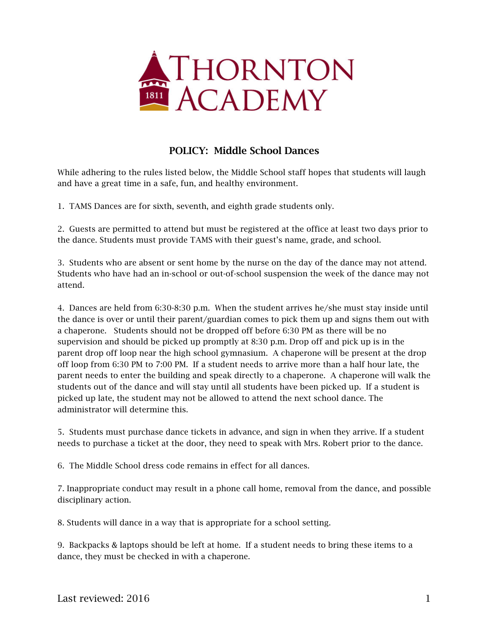

## POLICY: Middle School Dances

While adhering to the rules listed below, the Middle School staff hopes that students will laugh and have a great time in a safe, fun, and healthy environment.

1. TAMS Dances are for sixth, seventh, and eighth grade students only.

2. Guests are permitted to attend but must be registered at the office at least two days prior to the dance. Students must provide TAMS with their guest's name, grade, and school.

3. Students who are absent or sent home by the nurse on the day of the dance may not attend. Students who have had an in-school or out-of-school suspension the week of the dance may not attend.

4. Dances are held from 6:30-8:30 p.m. When the student arrives he/she must stay inside until the dance is over or until their parent/guardian comes to pick them up and signs them out with a chaperone. Students should not be dropped off before 6:30 PM as there will be no supervision and should be picked up promptly at 8:30 p.m. Drop off and pick up is in the parent drop off loop near the high school gymnasium. A chaperone will be present at the drop off loop from 6:30 PM to 7:00 PM. If a student needs to arrive more than a half hour late, the parent needs to enter the building and speak directly to a chaperone. A chaperone will walk the students out of the dance and will stay until all students have been picked up. If a student is picked up late, the student may not be allowed to attend the next school dance. The administrator will determine this.

5. Students must purchase dance tickets in advance, and sign in when they arrive. If a student needs to purchase a ticket at the door, they need to speak with Mrs. Robert prior to the dance.

6. The Middle School dress code remains in effect for all dances.

7. Inappropriate conduct may result in a phone call home, removal from the dance, and possible disciplinary action.

8. Students will dance in a way that is appropriate for a school setting.

9. Backpacks & laptops should be left at home. If a student needs to bring these items to a dance, they must be checked in with a chaperone.